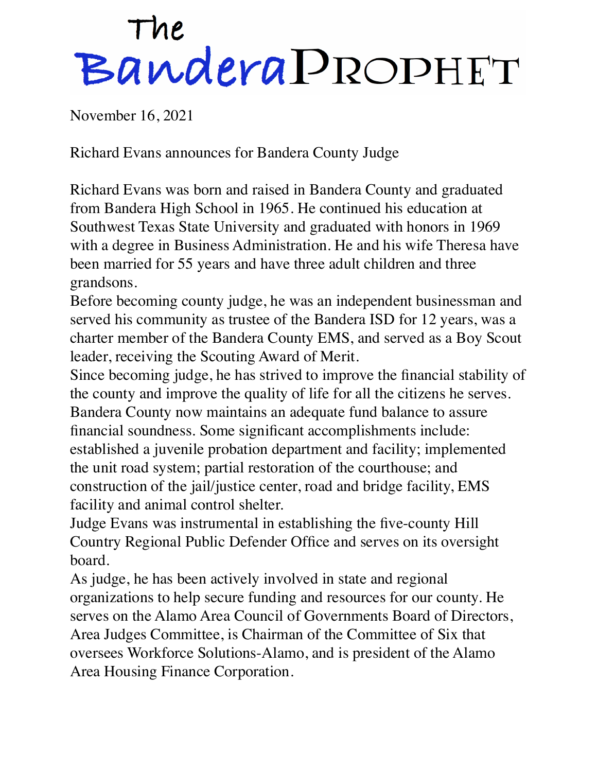## The<br>Bandera PROPHET

November 16, 2021

Richard Evans announces for Bandera County Judge

Richard Evans was born and raised in Bandera County and graduated from Bandera High School in 1965. He continued his education at Southwest Texas State University and graduated with honors in 1969 with a degree in Business Administration. He and his wife Theresa have been married for 55 years and have three adult children and three grandsons.

Before becoming county judge, he was an independent businessman and served his community as trustee of the Bandera ISD for 12 years, was a charter member of the Bandera County EMS, and served as a Boy Scout leader, receiving the Scouting Award of Merit.

Since becoming judge, he has strived to improve the financial stability of the county and improve the quality of life for all the citizens he serves. Bandera County now maintains an adequate fund balance to assure financial soundness. Some significant accomplishments include: established a juvenile probation department and facility; implemented the unit road system; partial restoration of the courthouse; and construction of the jail/justice center, road and bridge facility, EMS facility and animal control shelter.

Judge Evans was instrumental in establishing the five-county Hill Country Regional Public Defender Office and serves on its oversight board.

As judge, he has been actively involved in state and regional organizations to help secure funding and resources for our county. He serves on the Alamo Area Council of Governments Board of Directors, Area Judges Committee, is Chairman of the Committee of Six that oversees Workforce Solutions-Alamo, and is president of the Alamo Area Housing Finance Corporation.